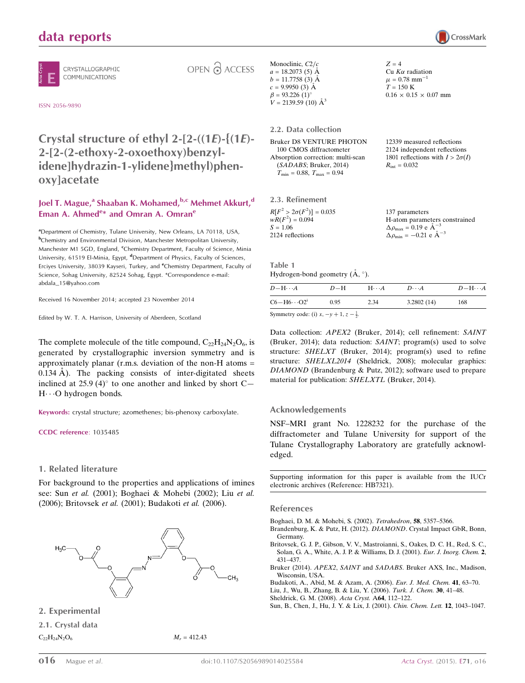# data reports

CRYSTALLOGRAPHIC COMMUNICATIONS

OPEN & ACCESS

ISSN 2056-9890

# Crystal structure of ethyl 2-[2- $((1E)$ - $(1E)$ -2-[2-(2-ethoxy-2-oxoethoxy)benzylidene]hydrazin-1-ylidene}methyl)phenoxy]acetate

#### Joel T. Mague,<sup>a</sup> Shaaban K. Mohamed,<sup>b,c</sup> Mehmet Akkurt,<sup>d</sup> Eman A. Ahmed<sup>e\*</sup> and Omran A. Omran<sup>e</sup>

<sup>a</sup>Department of Chemistry, Tulane University, New Orleans, LA 70118, USA, <sup>b</sup>Chemistry and Environmental Division, Manchester Metropolitan University, Manchester M1 5GD, England, <sup>c</sup>Chemistry Department, Faculty of Science, Minia University, 61519 El-Minia, Egypt, <sup>d</sup>Department of Physics, Faculty of Sciences, Erciyes University, 38039 Kayseri, Turkey, and <sup>e</sup>Chemistry Department, Faculty of Science, Sohag University, 82524 Sohag, Egypt. \*Correspondence e-mail: abdala\_15@yahoo.com

Received 16 November 2014; accepted 23 November 2014

Edited by W. T. A. Harrison, University of Aberdeen, Scotland

The complete molecule of the title compound,  $C_{22}H_{24}N_2O_6$ , is generated by crystallographic inversion symmetry and is approximately planar (r.m.s. deviation of the non-H atoms = 0.134  $\AA$ ). The packing consists of inter-digitated sheets inclined at 25.9 (4) $\degree$  to one another and linked by short C- $H \cdots$ O hydrogen bonds.

Keywords: crystal structure; azomethenes; bis-phenoxy carboxylate.

CCDC reference: 1035485

#### 1. Related literature

For background to the properties and applications of imines see: Sun et al. (2001); Boghaei & Mohebi (2002); Liu et al. (2006); Britovsek et al. (2001); Budakoti et al. (2006).



2. Experimental

2.1. Crystal data  $C_{22}H_{24}N_{2}O_{6}$   $M_{r} = 412.43$ 

```
Monoclinic, C2/ca = 18.2073(5) Å
b = 11.7758(3) Å
c = 9.9950(3) Å
\beta = 93.226 (1)<sup>o</sup>
V = 2139.59(10) \AA^3Z = 4Cu K\alpha radiation
                                            \mu = 0.78 mm<sup>-1</sup>
                                            T = 150 \text{ K}0.16 \times 0.15 \times 0.07 mm
2.2. Data collection
Bruker D8 VENTURE PHOTON
  100 CMOS diffractometer
                                            12339 measured reflections
                                            2124 independent reflections
                                            1801 reflections with I > 2\sigma(I)
```

| Absorption correction: multi-scan  |
|------------------------------------|
| (SADABS; Bruker, 2014)             |
| $T_{\min} = 0.88, T_{\max} = 0.94$ |

| 2.3. Refinement                 |                                                    |
|---------------------------------|----------------------------------------------------|
| $R[F^2 > 2\sigma(F^2)] = 0.035$ | 137 parameters                                     |
| $wR(F^2) = 0.094$               | H-atom parameters constrained                      |
| $S = 1.06$                      | $\Delta \rho_{\text{max}} = 0.19 \text{ e A}^{-3}$ |
| 2124 reflections                | $\Delta \rho_{\text{min}} = -0.21$ e $\AA^{-3}$    |
|                                 |                                                    |

 $R_{\text{int}} = 0.032$ 

Table 1 Hydrogen-bond geometry  $(\AA, \degree)$ .

| $D - H \cdots A$                                   | $D-H$ | $H \cdots A$ | $D\cdots A$ | $D - H \cdots A$ |
|----------------------------------------------------|-------|--------------|-------------|------------------|
| $C6 - H6 \cdot \cdot \cdot O2^i$                   | 0.95  | 2.34         | 3.2802(14)  | 168              |
| Symmatry code: (i) $x = y \pm 1$ $z = \frac{1}{2}$ |       |              |             |                  |

Symmetry code: (i)  $x, -y + 1, z - \frac{1}{2}$ .

Data collection: APEX2 (Bruker, 2014); cell refinement: SAINT (Bruker, 2014); data reduction: SAINT; program(s) used to solve structure: SHELXT (Bruker, 2014); program(s) used to refine structure: SHELXL2014 (Sheldrick, 2008); molecular graphics: DIAMOND (Brandenburg & Putz, 2012); software used to prepare material for publication: SHELXTL (Bruker, 2014).

#### Acknowledgements

NSF–MRI grant No. 1228232 for the purchase of the diffractometer and Tulane University for support of the Tulane Crystallography Laboratory are gratefully acknowledged.

Supporting information for this paper is available from the IUCr electronic archives (Reference: HB7321).

#### References

[Boghaei, D. M. & Mohebi, S. \(2002\).](http://scripts.iucr.org/cgi-bin/cr.cgi?rm=pdfbb&cnor=hb7321&bbid=BB1) Tetrahedron, 58, 5357–5366.

- [Brandenburg, K. & Putz, H. \(2012\).](http://scripts.iucr.org/cgi-bin/cr.cgi?rm=pdfbb&cnor=hb7321&bbid=BB2) DIAMOND. Crystal Impact GbR, Bonn, [Germany.](http://scripts.iucr.org/cgi-bin/cr.cgi?rm=pdfbb&cnor=hb7321&bbid=BB2)
- [Britovsek, G. J. P., Gibson, V. V., Mastroianni, S., Oakes, D. C. H., Red, S. C.,](http://scripts.iucr.org/cgi-bin/cr.cgi?rm=pdfbb&cnor=hb7321&bbid=BB3) [Solan, G. A., White, A. J. P. & Williams, D. J. \(2001\).](http://scripts.iucr.org/cgi-bin/cr.cgi?rm=pdfbb&cnor=hb7321&bbid=BB3) Eur. J. Inorg. Chem. 2, [431–437.](http://scripts.iucr.org/cgi-bin/cr.cgi?rm=pdfbb&cnor=hb7321&bbid=BB3)
- Bruker (2014). APEX2, SAINT and SADABS[. Bruker AXS, Inc., Madison,](http://scripts.iucr.org/cgi-bin/cr.cgi?rm=pdfbb&cnor=hb7321&bbid=BB4) [Wisconsin, USA.](http://scripts.iucr.org/cgi-bin/cr.cgi?rm=pdfbb&cnor=hb7321&bbid=BB4)

[Budakoti, A., Abid, M. & Azam, A. \(2006\).](http://scripts.iucr.org/cgi-bin/cr.cgi?rm=pdfbb&cnor=hb7321&bbid=BB5) Eur. J. Med. Chem. 41, 63–70.

- [Liu, J., Wu, B., Zhang, B. & Liu, Y. \(2006\).](http://scripts.iucr.org/cgi-bin/cr.cgi?rm=pdfbb&cnor=hb7321&bbid=BB6) Turk. J. Chem. 30, 41–48.
- [Sheldrick, G. M. \(2008\).](http://scripts.iucr.org/cgi-bin/cr.cgi?rm=pdfbb&cnor=hb7321&bbid=BB7) Acta Cryst. A64, 112–122.
- [Sun, B., Chen, J., Hu, J. Y. & Lix, J. \(2001\).](http://scripts.iucr.org/cgi-bin/cr.cgi?rm=pdfbb&cnor=hb7321&bbid=BB8) Chin. Chem. Lett. 12, 1043–1047.

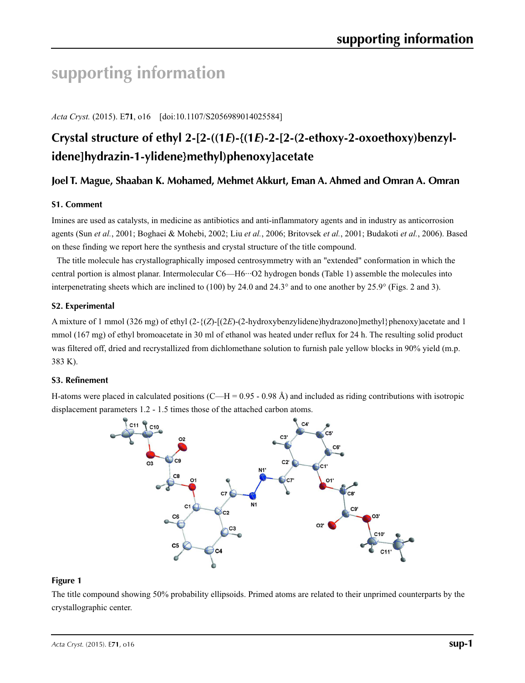# **supporting information**

*Acta Cryst.* (2015). E**71**, o16 [doi:10.1107/S2056989014025584]

# Crystal structure of ethyl 2-[2-((1*E*)-{(1*E*)-2-[2-(2-ethoxy-2-oxoethoxy)benzyl**idene]hydrazin-1-ylidene}methyl)phenoxy]acetate**

## **Joel T. Mague, Shaaban K. Mohamed, Mehmet Akkurt, Eman A. Ahmed and Omran A. Omran**

#### **S1. Comment**

Imines are used as catalysts, in medicine as antibiotics and anti-inflammatory agents and in industry as anticorrosion agents (Sun *et al.*, 2001; Boghaei & Mohebi, 2002; Liu *et al.*, 2006; Britovsek *et al.*, 2001; Budakoti *et al.*, 2006). Based on these finding we report here the synthesis and crystal structure of the title compound.

The title molecule has crystallographically imposed centrosymmetry with an "extended" conformation in which the central portion is almost planar. Intermolecular C6—H6···O2 hydrogen bonds (Table 1) assemble the molecules into interpenetrating sheets which are inclined to (100) by 24.0 and 24.3° and to one another by 25.9° (Figs. 2 and 3).

#### **S2. Experimental**

A mixture of 1 mmol (326 mg) of ethyl (2-{(*Z*)-[(2*E*)-(2-hydroxybenzylidene)hydrazono]methyl}phenoxy)acetate and 1 mmol (167 mg) of ethyl bromoacetate in 30 ml of ethanol was heated under reflux for 24 h. The resulting solid product was filtered off, dried and recrystallized from dichlomethane solution to furnish pale yellow blocks in 90% yield (m.p. 383 K).

#### **S3. Refinement**

H-atoms were placed in calculated positions  $(C-H = 0.95 - 0.98 \text{ Å})$  and included as riding contributions with isotropic displacement parameters 1.2 - 1.5 times those of the attached carbon atoms.



#### **Figure 1**

The title compound showing 50% probability ellipsoids. Primed atoms are related to their unprimed counterparts by the crystallographic center.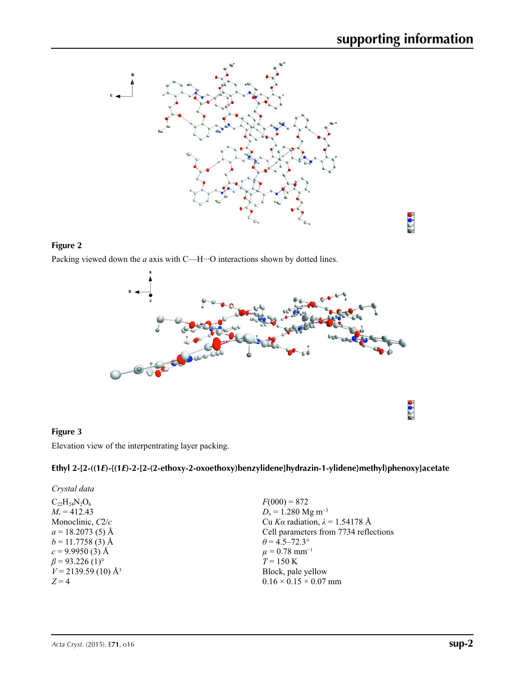$\frac{1}{2}$   $\frac{1}{2}$ 



### **Figure 2**

Packing viewed down the *a* axis with C—H<sup>··</sup>·O interactions shown by dotted lines.



#### **Figure 3**

Elevation view of the interpentrating layer packing.

## **Ethyl 2-[2-((1***E***)-{(1***E***)-2-[2-(2-ethoxy-2-oxoethoxy)benzylidene]hydrazin-1-ylidene}methyl)phenoxy]acetate**

| $F(000) = 872$<br>$D_x = 1.280$ Mg m <sup>-3</sup><br>Cu Ka radiation, $\lambda = 1.54178$ Å<br>Cell parameters from 7734 reflections<br>$\theta$ = 4.5–72.3°<br>$\mu = 0.78$ mm <sup>-1</sup><br>$T = 150 \text{ K}$<br>Block, pale yellow<br>$0.16 \times 0.15 \times 0.07$ mm | Crystal data                      |  |
|----------------------------------------------------------------------------------------------------------------------------------------------------------------------------------------------------------------------------------------------------------------------------------|-----------------------------------|--|
|                                                                                                                                                                                                                                                                                  | $C_{22}H_{24}N_2O_6$              |  |
|                                                                                                                                                                                                                                                                                  | $M_r = 412.43$                    |  |
|                                                                                                                                                                                                                                                                                  | Monoclinic, C2/c                  |  |
|                                                                                                                                                                                                                                                                                  | $a = 18.2073(5)$ Å                |  |
|                                                                                                                                                                                                                                                                                  | $b = 11.7758(3)$ Å                |  |
|                                                                                                                                                                                                                                                                                  | $c = 9.9950(3)$ Å                 |  |
|                                                                                                                                                                                                                                                                                  | $\beta$ = 93.226 (1) <sup>o</sup> |  |
|                                                                                                                                                                                                                                                                                  | $V = 2139.59(10)$ Å <sup>3</sup>  |  |
|                                                                                                                                                                                                                                                                                  | $Z=4$                             |  |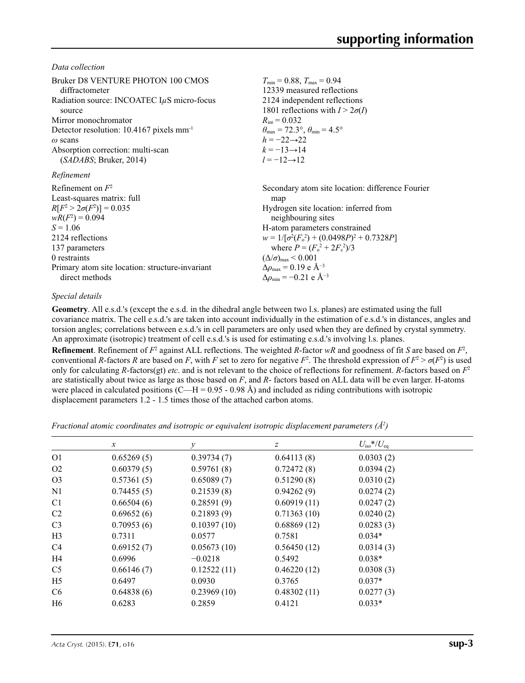*Data collection*

| Bruker D8 VENTURE PHOTON 100 CMOS                      | $T_{\rm min} = 0.88$ , $T_{\rm max} = 0.94$                             |
|--------------------------------------------------------|-------------------------------------------------------------------------|
| diffractometer                                         | 12339 measured reflections                                              |
| Radiation source: INCOATEC $I\mu S$ micro-focus        | 2124 independent reflections                                            |
| source                                                 | 1801 reflections with $I > 2\sigma(I)$                                  |
| Mirror monochromator                                   | $R_{\text{int}} = 0.032$                                                |
| Detector resolution: $10.4167$ pixels mm <sup>-1</sup> | $\theta_{\text{max}} = 72.3^{\circ}, \theta_{\text{min}} = 4.5^{\circ}$ |
| $\omega$ scans                                         | $h = -22 \rightarrow 22$                                                |
| Absorption correction: multi-scan                      | $k = -13 \rightarrow 14$                                                |
| (SADABS; Bruker, 2014)                                 | $l = -12 \rightarrow 12$                                                |
| Refinement                                             |                                                                         |
| Refinement on $F^2$                                    | Secondary atom site location: difference Fourier                        |
| Least-squares matrix: full                             | map                                                                     |
| $R[F^2 > 2\sigma(F^2)] = 0.035$                        | Hydrogen site location: inferred from                                   |
| $wR(F^2) = 0.094$                                      | neighbouring sites                                                      |
| $S = 1.06$                                             | H-atom parameters constrained                                           |
| 2124 reflections                                       | $w = 1/[\sigma^2(F_0^2) + (0.0498P)^2 + 0.7328P]$                       |
| 137 parameters                                         | where $P = (F_o^2 + 2F_c^2)/3$                                          |
| 0 restraints                                           | $(\Delta/\sigma)_{\text{max}}$ < 0.001                                  |
| Primary atom site location: structure-invariant        | $\Delta \rho_{\text{max}} = 0.19 \text{ e A}^{-3}$                      |
| direct methods                                         | $\Delta \rho_{\rm min} = -0.21$ e Å <sup>-3</sup>                       |

#### *Special details*

**Geometry**. All e.s.d.'s (except the e.s.d. in the dihedral angle between two l.s. planes) are estimated using the full covariance matrix. The cell e.s.d.'s are taken into account individually in the estimation of e.s.d.'s in distances, angles and torsion angles; correlations between e.s.d.'s in cell parameters are only used when they are defined by crystal symmetry. An approximate (isotropic) treatment of cell e.s.d.'s is used for estimating e.s.d.'s involving l.s. planes.

**Refinement**. Refinement of  $F^2$  against ALL reflections. The weighted R-factor wR and goodness of fit *S* are based on  $F^2$ , conventional *R*-factors *R* are based on *F*, with *F* set to zero for negative  $F^2$ . The threshold expression of  $F^2 > \sigma(F^2)$  is used only for calculating *R*-factors(gt) *etc*. and is not relevant to the choice of reflections for refinement. *R*-factors based on *F*<sup>2</sup> are statistically about twice as large as those based on *F*, and *R*- factors based on ALL data will be even larger. H-atoms were placed in calculated positions (C—H = 0.95 - 0.98 Å) and included as riding contributions with isotropic displacement parameters 1.2 - 1.5 times those of the attached carbon atoms.

*Fractional atomic coordinates and isotropic or equivalent isotropic displacement parameters (Å<sup>2</sup>)* 

|                | $\boldsymbol{x}$ | v           | Ζ           | $U_{\rm iso} * / U_{\rm eq}$ |  |
|----------------|------------------|-------------|-------------|------------------------------|--|
| O <sub>1</sub> | 0.65269(5)       | 0.39734(7)  | 0.64113(8)  | 0.0303(2)                    |  |
| O <sub>2</sub> | 0.60379(5)       | 0.59761(8)  | 0.72472(8)  | 0.0394(2)                    |  |
| O <sub>3</sub> | 0.57361(5)       | 0.65089(7)  | 0.51290(8)  | 0.0310(2)                    |  |
| N1             | 0.74455(5)       | 0.21539(8)  | 0.94262(9)  | 0.0274(2)                    |  |
| C <sub>1</sub> | 0.66504(6)       | 0.28591(9)  | 0.60919(11) | 0.0247(2)                    |  |
| C <sub>2</sub> | 0.69652(6)       | 0.21893(9)  | 0.71363(10) | 0.0240(2)                    |  |
| C <sub>3</sub> | 0.70953(6)       | 0.10397(10) | 0.68869(12) | 0.0283(3)                    |  |
| H <sub>3</sub> | 0.7311           | 0.0577      | 0.7581      | $0.034*$                     |  |
| C <sub>4</sub> | 0.69152(7)       | 0.05673(10) | 0.56450(12) | 0.0314(3)                    |  |
| H4             | 0.6996           | $-0.0218$   | 0.5492      | $0.038*$                     |  |
| C <sub>5</sub> | 0.66146(7)       | 0.12522(11) | 0.46220(12) | 0.0308(3)                    |  |
| H <sub>5</sub> | 0.6497           | 0.0930      | 0.3765      | $0.037*$                     |  |
| C <sub>6</sub> | 0.64838(6)       | 0.23969(10) | 0.48302(11) | 0.0277(3)                    |  |
| H <sub>6</sub> | 0.6283           | 0.2859      | 0.4121      | $0.033*$                     |  |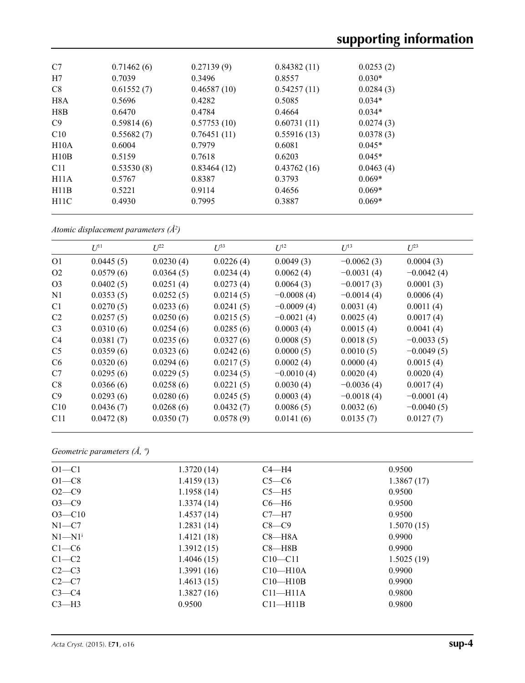| C7               | 0.71462(6) | 0.27139(9)  | 0.84382(11) | 0.0253(2) |
|------------------|------------|-------------|-------------|-----------|
| H7               | 0.7039     | 0.3496      | 0.8557      | $0.030*$  |
| C8               | 0.61552(7) | 0.46587(10) | 0.54257(11) | 0.0284(3) |
| H <sub>8</sub> A | 0.5696     | 0.4282      | 0.5085      | $0.034*$  |
| H8B              | 0.6470     | 0.4784      | 0.4664      | $0.034*$  |
| C9               | 0.59814(6) | 0.57753(10) | 0.60731(11) | 0.0274(3) |
| C10              | 0.55682(7) | 0.76451(11) | 0.55916(13) | 0.0378(3) |
| H10A             | 0.6004     | 0.7979      | 0.6081      | $0.045*$  |
| H10B             | 0.5159     | 0.7618      | 0.6203      | $0.045*$  |
| C <sub>11</sub>  | 0.53530(8) | 0.83464(12) | 0.43762(16) | 0.0463(4) |
| H11A             | 0.5767     | 0.8387      | 0.3793      | $0.069*$  |
| H11B             | 0.5221     | 0.9114      | 0.4656      | $0.069*$  |
| H11C             | 0.4930     | 0.7995      | 0.3887      | $0.069*$  |
|                  |            |             |             |           |

*Atomic displacement parameters (Å2 )*

|                | $U^{11}$  | $L^{22}$  | $U^{33}$  | $U^{12}$     | $U^{13}$     | $U^{23}$     |
|----------------|-----------|-----------|-----------|--------------|--------------|--------------|
| O <sub>1</sub> | 0.0445(5) | 0.0230(4) | 0.0226(4) | 0.0049(3)    | $-0.0062(3)$ | 0.0004(3)    |
| O <sub>2</sub> | 0.0579(6) | 0.0364(5) | 0.0234(4) | 0.0062(4)    | $-0.0031(4)$ | $-0.0042(4)$ |
| O <sub>3</sub> | 0.0402(5) | 0.0251(4) | 0.0273(4) | 0.0064(3)    | $-0.0017(3)$ | 0.0001(3)    |
| N1             | 0.0353(5) | 0.0252(5) | 0.0214(5) | $-0.0008(4)$ | $-0.0014(4)$ | 0.0006(4)    |
| C <sub>1</sub> | 0.0270(5) | 0.0233(6) | 0.0241(5) | $-0.0009(4)$ | 0.0031(4)    | 0.0011(4)    |
| C <sub>2</sub> | 0.0257(5) | 0.0250(6) | 0.0215(5) | $-0.0021(4)$ | 0.0025(4)    | 0.0017(4)    |
| C <sub>3</sub> | 0.0310(6) | 0.0254(6) | 0.0285(6) | 0.0003(4)    | 0.0015(4)    | 0.0041(4)    |
| C <sub>4</sub> | 0.0381(7) | 0.0235(6) | 0.0327(6) | 0.0008(5)    | 0.0018(5)    | $-0.0033(5)$ |
| C <sub>5</sub> | 0.0359(6) | 0.0323(6) | 0.0242(6) | 0.0000(5)    | 0.0010(5)    | $-0.0049(5)$ |
| C6             | 0.0320(6) | 0.0294(6) | 0.0217(5) | 0.0002(4)    | 0.0000(4)    | 0.0015(4)    |
| C7             | 0.0295(6) | 0.0229(5) | 0.0234(5) | $-0.0010(4)$ | 0.0020(4)    | 0.0020(4)    |
| C8             | 0.0366(6) | 0.0258(6) | 0.0221(5) | 0.0030(4)    | $-0.0036(4)$ | 0.0017(4)    |
| C9             | 0.0293(6) | 0.0280(6) | 0.0245(5) | 0.0003(4)    | $-0.0018(4)$ | $-0.0001(4)$ |
| C10            | 0.0436(7) | 0.0268(6) | 0.0432(7) | 0.0086(5)    | 0.0032(6)    | $-0.0040(5)$ |
| C11            | 0.0472(8) | 0.0350(7) | 0.0578(9) | 0.0141(6)    | 0.0135(7)    | 0.0127(7)    |

*Geometric parameters (Å, º)*

| $O1-C1$                | 1.3720(14) | $C4 - H4$    | 0.9500     |
|------------------------|------------|--------------|------------|
| $O1-C8$                | 1.4159(13) | $C5-C6$      | 1.3867(17) |
| $O2-C9$                | 1.1958(14) | $C5 - H5$    | 0.9500     |
| $O3 - C9$              | 1.3374(14) | $C6 - H6$    | 0.9500     |
| $O3 - C10$             | 1.4537(14) | $C7 - H7$    | 0.9500     |
| $N1-C7$                | 1.2831(14) | $C8-C9$      | 1.5070(15) |
| $N1 - N1$ <sup>i</sup> | 1.4121(18) | $C8 - H8A$   | 0.9900     |
| $C1-C6$                | 1.3912(15) | $C8 - H8B$   | 0.9900     |
| $C1-C2$                | 1.4046(15) | $C10 - C11$  | 1.5025(19) |
| $C2-C3$                | 1.3991(16) | $C10-H10A$   | 0.9900     |
| $C2-C7$                | 1.4613(15) | $C10-H10B$   | 0.9900     |
| $C3-C4$                | 1.3827(16) | $C11 - H11A$ | 0.9800     |
| $C3-H3$                | 0.9500     | $C11 - H11B$ | 0.9800     |
|                        |            |              |            |